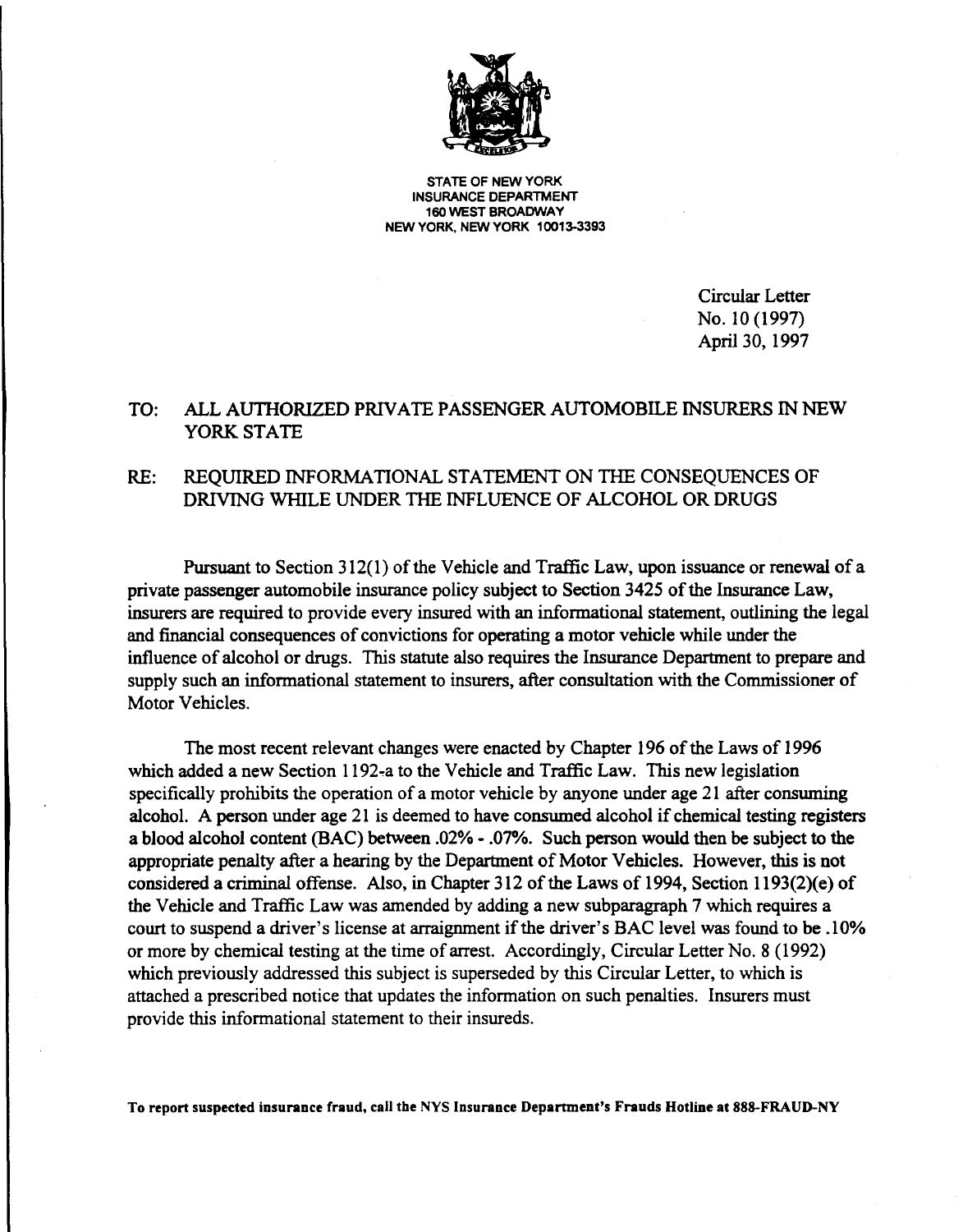

**STATE** OF **NEW YORK INSURANCE DEPARTMENT 160 WEST BROADWAY NEW YORK, NEW YORK 10013-3393** 

> Circular Letter No. 10 (1997) April 30, 1997

### TO: ALL AUTHORIZED PRIVATE PASSENGER AUTOMOBILE INSURERS IN NEW YORK STATE

### RE: REQUIRED INFORMATIONAL STATEMENT ON THE CONSEQUENCES OF DRIVING WIIlLE UNDER THE INFLUENCE OF ALCOHOL OR DRUGS

Pursuant to Section 312(1) of the Vehicle and Traffic Law, upon issuance or renewal of a private passenger automobile insurance policy subject to Section 3425 ofthe Insurance Law, insurers are required to provide every insured with an informational statement, outlining the legal and financial consequences of convictions for operating a motor vehicle while under the influence of alcohol or drugs. This statute also requires the Insurance Department to prepare and supply such an informational statement to insurers, after consultation with the Commissioner of Motor Vehicles.

The most recent relevant changes were enacted by Chapter 196 of the Laws of 1996 which added a new Section 1192-a to the Vehicle and Traffic Law. This new legislation specifically prohibits the operation of a motor vehicle by anyone under age 21 after consuming alcohol. A person under age 21 is deemed to have consumed alcohol if chemical testing registers a blood alcohol content (BAC) between .02% - .07%. Such person would then be subject to the appropriate penalty after a hearing by the Department of Motor Vehicles. However, this is not considered a criminal offense. Also, in Chapter 312 of the Laws of 1994, Section 1193(2)(e) of the Vehicle and Traffic Law was amended by adding a new subparagraph 7 which requires a court to suspend a driver's license at arraignment if the driver's BAC level was found to be .10% or more by chemical testing at the time of arrest. Accordingly, Circular Letter No. 8 (1992) which previously addressed this subject is superseded by this Circular Letter, to which is attached a prescribed notice that updates the information on such penalties. Insurers must provide this informational statement to their insureds.

**To report suspected insurance fraud, call the NYS Insurance Department's Frauds Hotline at 888-FRAUD-NY**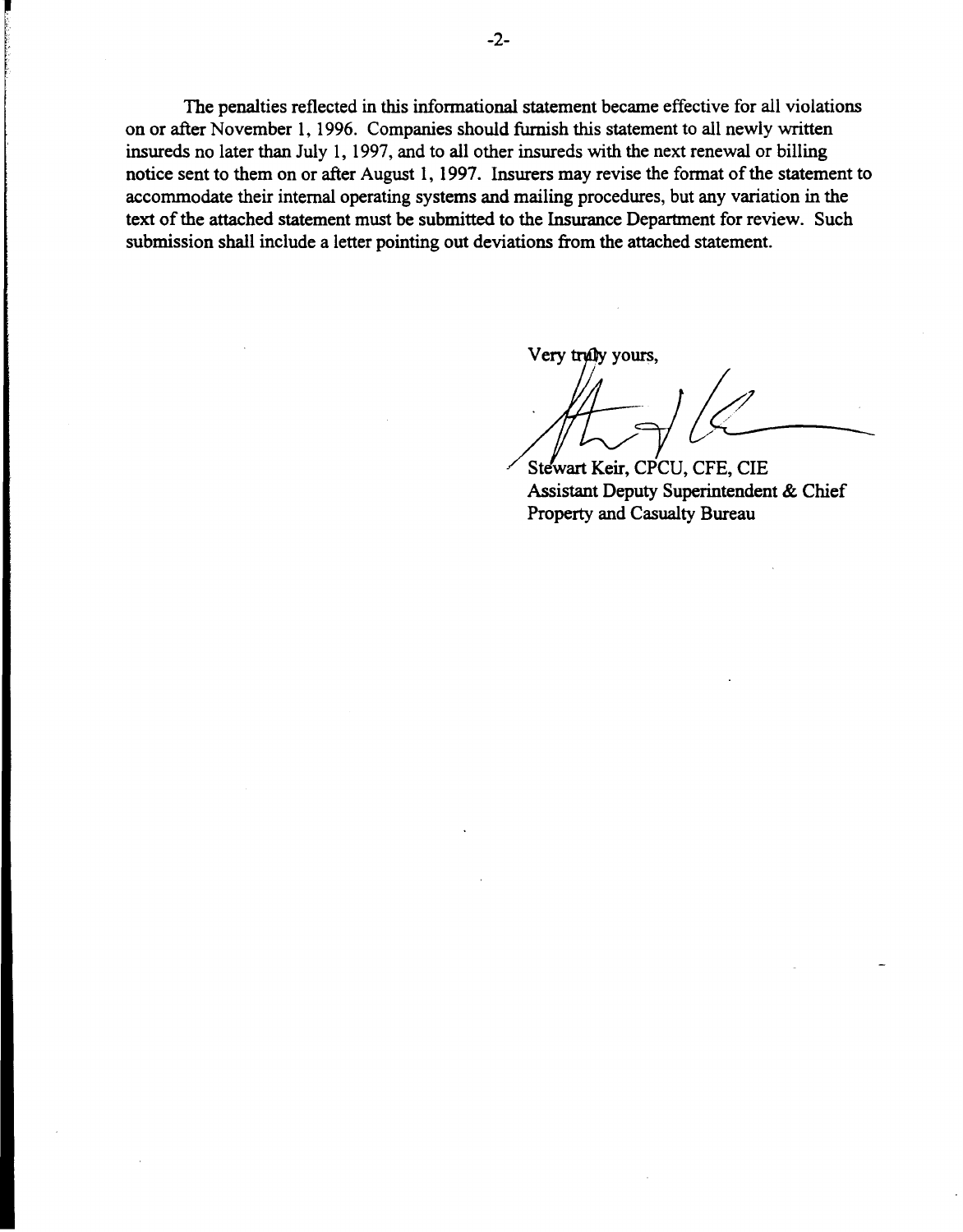The penalties reflected in this informational statement became effective for all violations on or after November 1, 1996. Companies should furnish this statement to all newly written insureds no later than July 1, 1997, and to all other insureds with the next renewal or billing notice sent to them on or after August 1, 1997. Insurers may revise the format of the statement to accommodate their internal operating systems and mailing procedures, but any variation in the text of the attached statement must be submitted to the Insurance Department for review. Such submission shall include a letter pointing out deviations from the attached statement.

Very truly yours.

*~le-\_* 

Stewart Keir, CPCU, CFE, CIE Assistant Deputy Superintendent & Chief Property and Casualty Bureau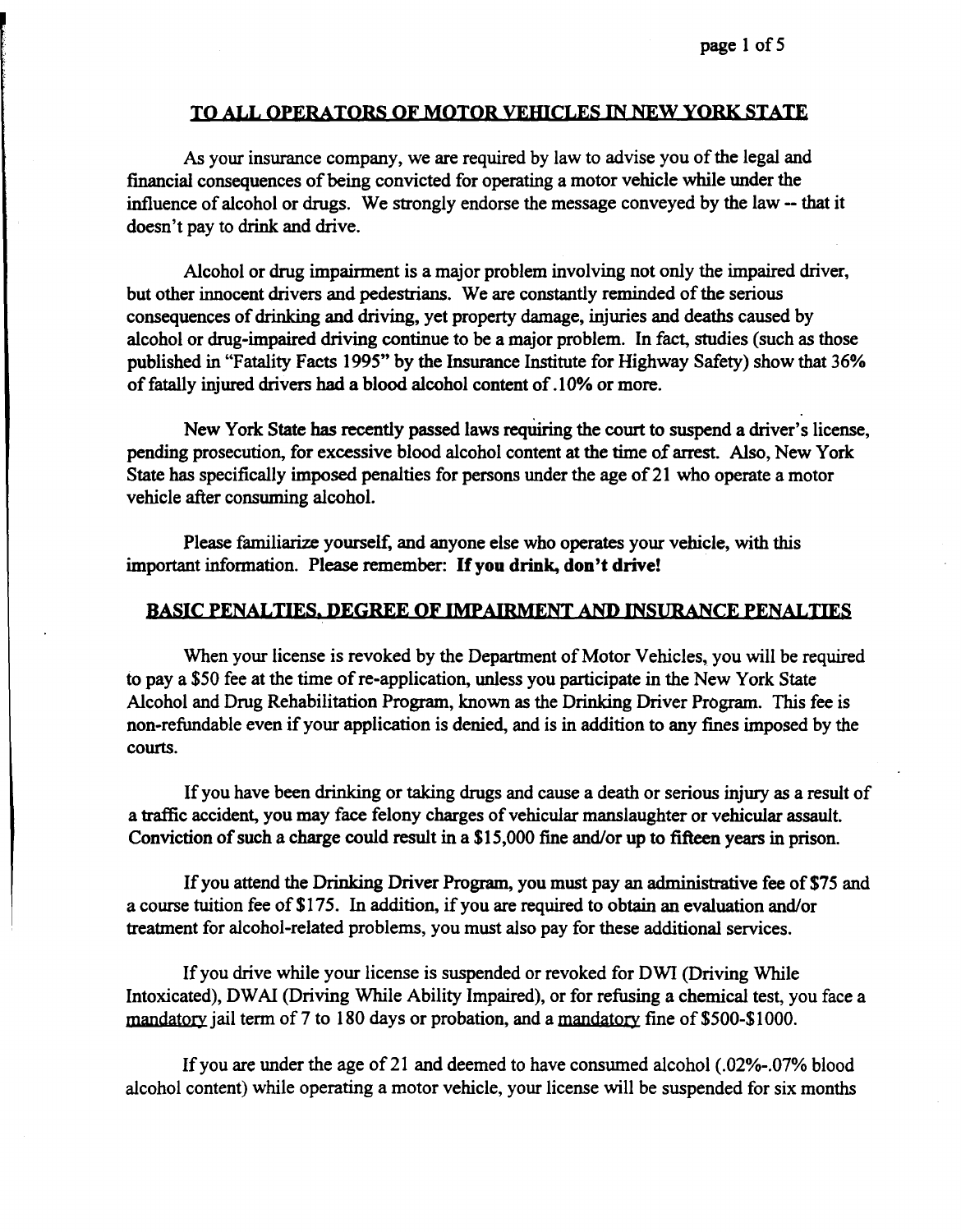#### TO ALL OPERATORS OF MOTOR VEHICLES IN NEW YORK STATE

As your insurance company, we are required by law to advise you of the legal and financial consequences of being convicted for operating a motor vehicle while under the influence of alcohol or drugs. We strongly endorse the message conveyed by the law - that it doesn't pay to drink and drive.

Alcohol or drug impairment is a major problem involving not only the impaired driver, but other innocent drivers and pedestrians. We are constantly reminded of the serious consequences of drinking and driving, yet property damage, injuries and deaths caused by alcohol or drug-impaired driving continue to be a major problem. In fact, studies (such as those published in "Fatality Facts 1995" by the Insurance Institute for Highway Safety) show that 36% of fatally injured drivers had a blood alcohol content of .10% or more.

New York State has recently passed laws requiring the court to suspend a driver's license, pending prosecution, for excessive blood alcohol content at the time of arrest. Also, New York State has specifically imposed penalties for persons under the age of 21 who operate a motor vehicle after consuming alcohol.

Please familiarize yourself, and anyone else who operates your vehicle, with this important information. Please remember: If**you drink, don't drive!** 

#### **BASIC PENALTIES. DEGREE OF IMPAIRMENT AND INSURANCE PENALTIES**

When your license is revoked by the Department of Motor Vehicles, you will be required to pay a \$50 fee at the time of re-application, unless you participate in the New York State Alcohol and Drug Rehabilitation Program, known as the Drinking Driver Program. This fee is non-refundable even if your application is denied, and is in addition to any fines imposed by the courts.

Ifyou have been drinking or taking drugs and cause a death or serious injury as a result of a traffic accident, you may face felony charges of vehicular manslaughter or vehicular assault. Conviction of such a charge could result in a \$15,000 fine and/or up to fifteen years in prison.

If you attend the Drinking Driver Program, you must pay an administrative fee of \$75 and a course tuition fee of \$175. In addition, if you are required to obtain an evaluation and/or treatment for alcohol-related problems, you must also pay for these additional services.

If you drive while your license is suspended or revoked for DWI (Driving While Intoxicated), DW AI (Driving While Ability Impaired), or for refusing a chemical test, you face a mandatory jail term of 7 to 180 days or probation, and a mandatory fine of \$500-\$1000.

Ifyou are under the age of21 and deemed to have consumed alcohol (.02%-.07% blood alcohol content) while operating a motor vehicle, your license will be suspended for six months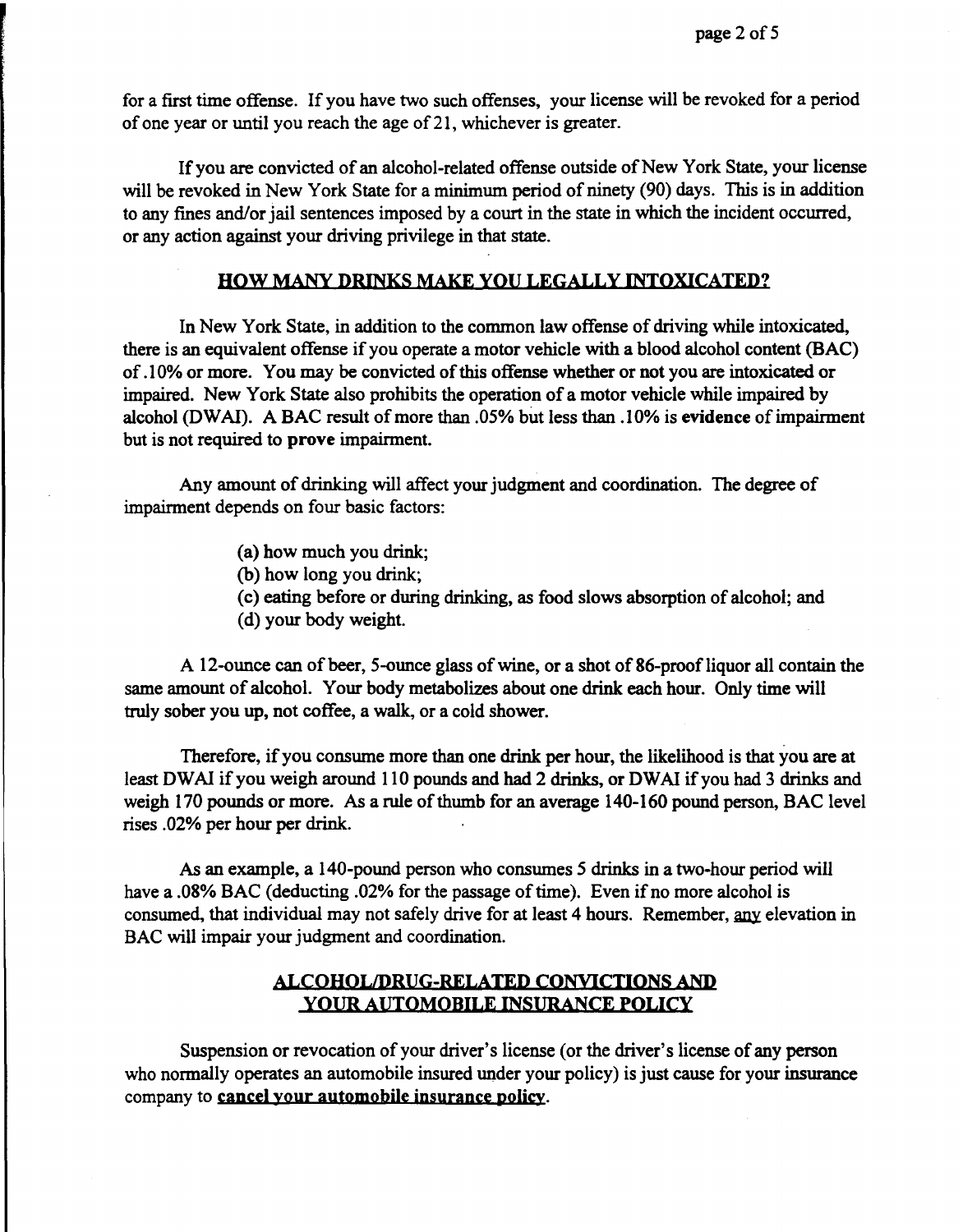for a first time offense. If you have two such offenses, your license will be revoked for a period of one year or until you reach the age of21, whichever is greater.

If you are convicted of an alcohol-related offense outside of New York State, your license will be revoked in New York State for a minimum period of ninety (90) days. This is in addition to any fines and/or jail sentences imposed by a court in the state in which the incident occurred, or any action against your driving privilege in that state.

### **HOW MANY DRINKS MAKE YOU LEGALLY INTOXICATED?**

In New York State, in addition to the common law offense of driving while intoxicated, there is an equivalent offense if you operate a motor vehicle with a blood alcohol content (BAC) of.10% or more. You may be convicted of this offense whether or not you are intoxicated or impaired. New York State also prohibits the operation of a motor vehicle while impaired by alcohol (DWAI). A BAC result of more than .05% but less than .10% is **evidence** of impairment but is not required to **prove** impairment.

Any amount of drinking will affect your judgment and coordination. The degree of impairment depends on four basic factors:

- (a) how much you drink;
- (b) how long you drink;
- (c) eating before or during drinking, as food slows absorption of alcohol; and
- (d) your body weight.

A 12-ounce can of beer, 5-ounce glass ofwine, or a shot of 86-proofliquor all contain the same amount of alcohol. Your body metabolizes about one drink each hour. Only time will truly sober you up, not coffee, a walk, or a cold shower.

Therefore, if you consume more than one drink per hour, the likelihood is that you are at least DWAI if you weigh around 110 pounds and had 2 drinks, or DWAI if you had 3 drinks and weigh 170 pounds or more. As a rule of thumb for an average 140-160 pound person, BAC level rises .02% per hour per drink.

As an example, a 140-pound person who consumes 5 drinks in a two-hour period will have a .08% BAC (deducting .02% for the passage of time). Even if no more alcohol is consumed, that individual may not safely drive for at least 4 hours. Remember, any elevation in BAC will impair your judgment and coordination.

### **ALCOHOL/DRUG-RELATED CONVICTIONS AND YOUR AUTOMOBILE INSURANCE POLICY**

Suspension or revocation of your driver's license ( or the driver's license of any person who normally operates an automobile insured under your policy) is just cause for your insurance company to cancel your automobile insurance policy.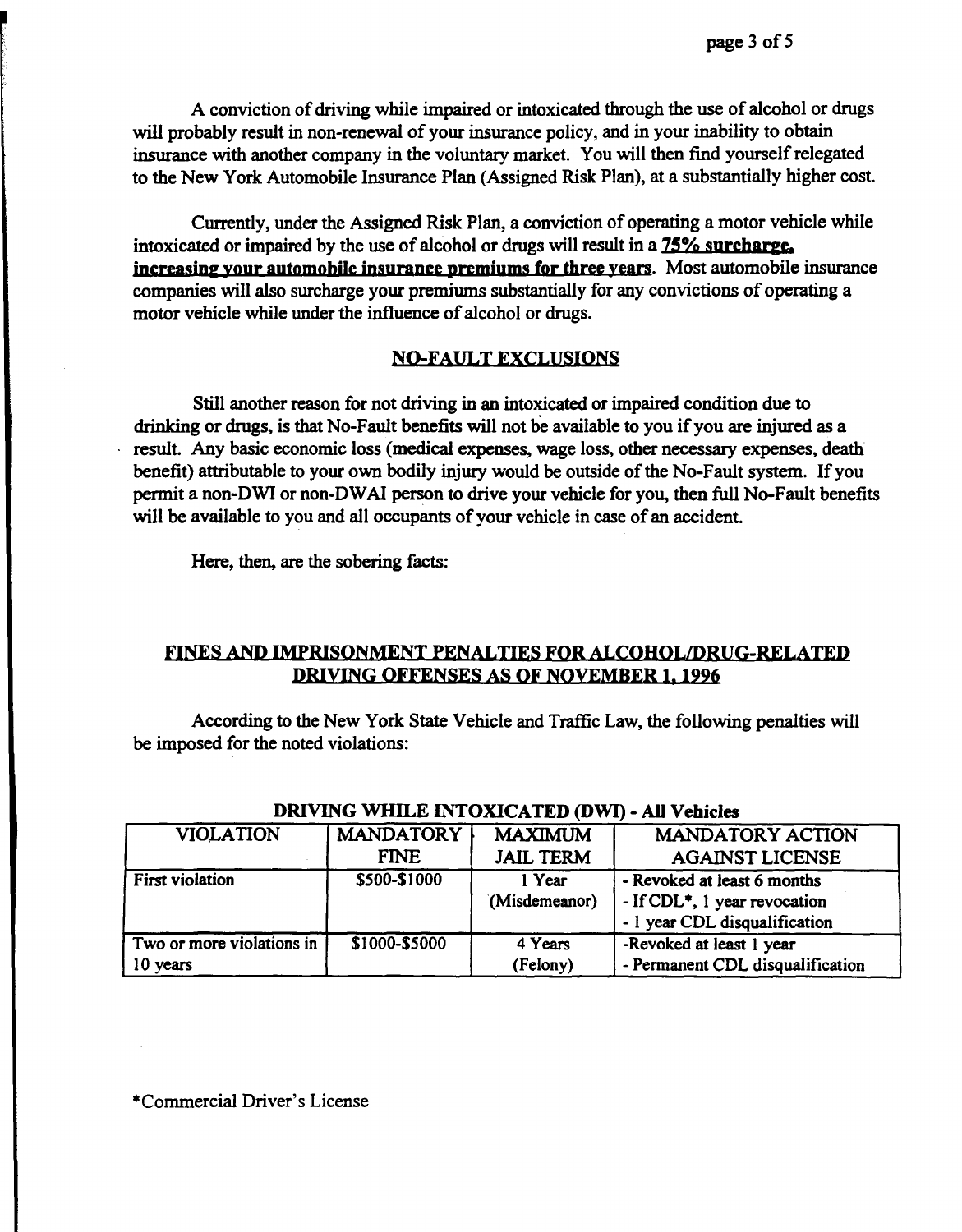A conviction of driving while impaired or intoxicated through the use of alcohol or drugs will probably result in non-renewal of your insurance policy, and in your inability to obtain insurance with another company in the voluntary market. You will then find yourself relegated to the New York Automobile Insurance Plan (Assigned Risk Plan), at a substantially higher cost.

Currently, under the Assigned Risk Plan, a conviction of operating a motor vehicle while intoxicated or impaired by the use of alcohol or drugs will result in a **7S% surcharge, increasing your automobile insurance premiums for three years.** Most automobile insurance companies will also surcharge your premiums substantially for any convictions of operating a motor vehicle while under the influence of alcohol or drugs.

### **NO-FAULT EXCLUSIONS**

Still another reason for not driving in an intoxicated or impaired condition due to drinking or drugs, is that No-Fault benefits will not be available to you if you are injured as a result. Any basic economic loss (medical expenses, wage loss, other necessary expenses, death benefit) attributable to your own bodily injury would be outside of the No-Fault system. If you permit a non-DWI or non-DWAI person to drive your vehicle for you, then full No-Fault benefits will be available to you and all occupants of your vehicle in case of an accident.

Here, then, are the sobering facts:

## **FINES AND IMPRISONMENT PENALTIES FOR ALCOHOL/DRUG-RELATED DRIVING OFFENSES AS OF NOVEMBER 1, 1996**

According to the New York State Vehicle and Traffic Law, the following penalties will be imposed for the noted violations:

| <b>VIOLATION</b>          | <b>MANDATORY</b> | <b>MAXIMUM</b>   | <b>MANDATORY ACTION</b>                   |
|---------------------------|------------------|------------------|-------------------------------------------|
|                           | <b>FINE</b>      | <b>JAIL TERM</b> | <b>AGAINST LICENSE</b>                    |
| <b>First violation</b>    | \$500-\$1000     | $1$ Year         | - Revoked at least 6 months               |
|                           |                  | (Misdemeanor)    | - If CDL <sup>*</sup> , 1 year revocation |
|                           |                  |                  | - 1 year CDL disqualification             |
| Two or more violations in | \$1000-\$5000    | 4 Years          | -Revoked at least 1 year                  |
| 10 years                  |                  | (Felony)         | - Permanent CDL disqualification          |

### DRIVING WlilLE INTOXICATED (DWI) - All **Vehicles**

\*Commercial Driver's License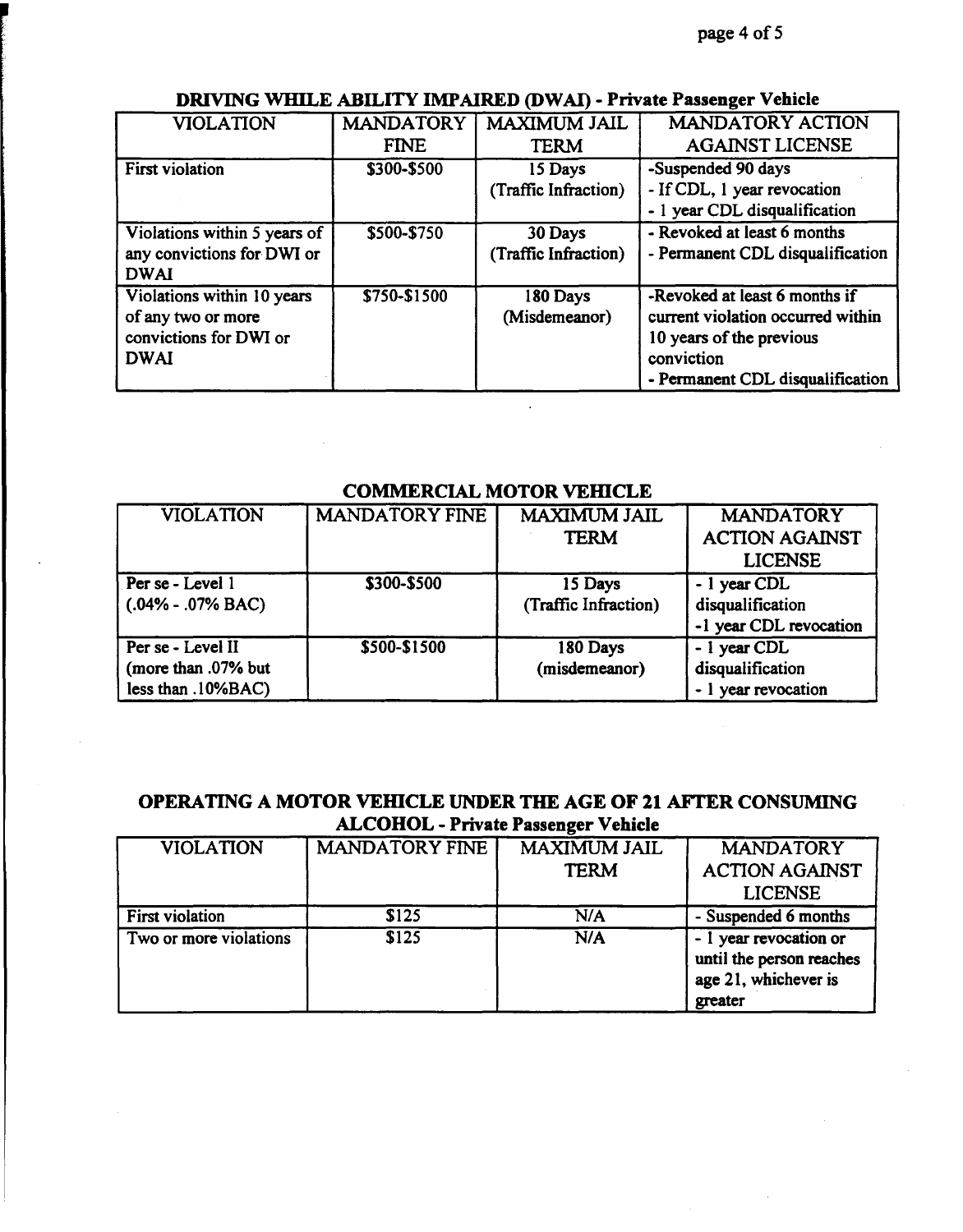| <b>VIOLATION</b>             | <b>MANDATORY</b> | <b>MAXIMUM JAIL</b>  | <b>MANDATORY ACTION</b>           |
|------------------------------|------------------|----------------------|-----------------------------------|
|                              | <b>FINE</b>      | <b>TERM</b>          | <b>AGAINST LICENSE</b>            |
| <b>First violation</b>       | \$300-\$500      | 15 Days              | -Suspended 90 days                |
|                              |                  | (Traffic Infraction) | - If CDL, 1 year revocation       |
|                              |                  |                      | - 1 year CDL disqualification     |
| Violations within 5 years of | \$500-\$750      | 30 Days              | - Revoked at least 6 months       |
| any convictions for DWI or   |                  | (Traffic Infraction) | - Permanent CDL disqualification  |
| <b>DWAI</b>                  |                  |                      |                                   |
| Violations within 10 years   | \$750-\$1500     | 180 Days             | -Revoked at least 6 months if     |
| of any two or more           |                  | (Misdemeanor)        | current violation occurred within |
| convictions for DWI or       |                  |                      | 10 years of the previous          |
| <b>DWAI</b>                  |                  |                      | conviction                        |
|                              |                  |                      | - Permanent CDL disqualification  |

## **DRIVING WHILE ABILITY IMP AIRED (DW Al)** - **Private Passenger Vehicle**

# COMMERCIAL MOTOR VEHICLE

| <b>VIOLATION</b>      | <b>MANDATORY FINE</b> | MAXIMUM JAIL         | <b>MANDATORY</b>       |
|-----------------------|-----------------------|----------------------|------------------------|
|                       |                       | <b>TERM</b>          | <b>ACTION AGAINST</b>  |
|                       |                       |                      | <b>LICENSE</b>         |
| Per se - Level 1      | \$300-\$500           | 15 Days              | - 1 year CDL           |
| $(.04\% - .07\%$ BAC) |                       | (Traffic Infraction) | disqualification       |
|                       |                       |                      | -1 year CDL revocation |
| Per se - Level II     | \$500-\$1500          | 180 Days             | - 1 year CDL           |
| (more than .07% but   |                       | (misdemeanor)        | disqualification       |
| less than .10%BAC)    |                       |                      | year revocation        |

# **OPERATING A MOTOR VEHICLE UNDER THE AGE OF 21 AFTER CONSUMING ALCOHOL** - **Private Passenger Vehicle**

| <b>VIOLATION</b>       | <b>MANDATORY FINE</b> | <b>MAXIMUM JAIL</b><br><b>TERM</b> | <b>MANDATORY</b><br><b>ACTION AGAINST</b><br><b>LICENSE</b>                           |
|------------------------|-----------------------|------------------------------------|---------------------------------------------------------------------------------------|
|                        |                       |                                    |                                                                                       |
| <b>First violation</b> | \$125                 | N/A                                | - Suspended 6 months                                                                  |
| Two or more violations | \$125                 | N/A                                | - 1 year revocation or<br>until the person reaches<br>age 21, whichever is<br>greater |